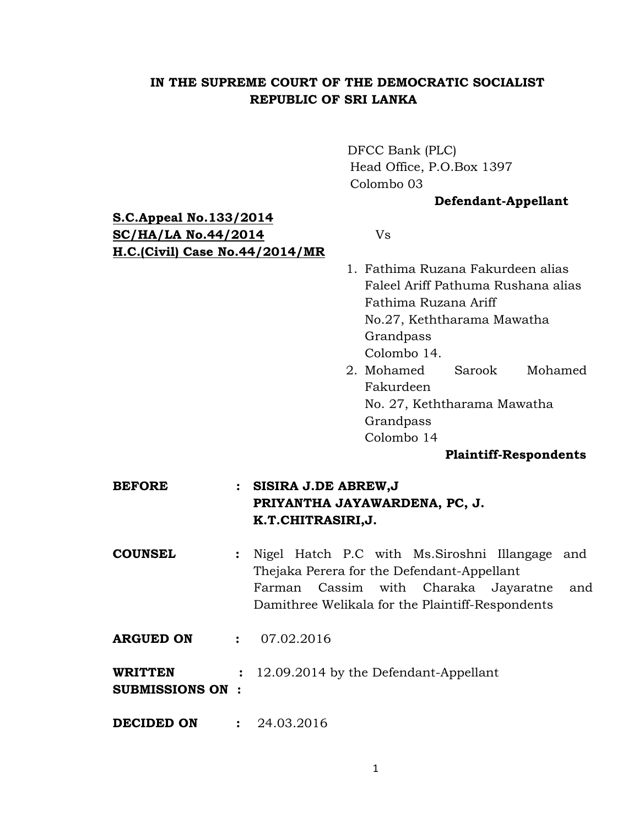## **IN THE SUPREME COURT OF THE DEMOCRATIC SOCIALIST REPUBLIC OF SRI LANKA**

DFCC Bank (PLC) Head Office, P.O.Box 1397 Colombo 03

## **Defendant-Appellant**

# **S.C.Appeal No.133/2014 SC/HA/LA No.44/2014** Vs **H.C.(Civil) Case No.44/2014/MR**

- 1. Fathima Ruzana Fakurdeen alias Faleel Ariff Pathuma Rushana alias Fathima Ruzana Ariff No.27, Keththarama Mawatha Grandpass Colombo 14.
- 2. Mohamed Sarook Mohamed Fakurdeen No. 27, Keththarama Mawatha Grandpass Colombo 14

## **Plaintiff-Respondents**

- **BEFORE : SISIRA J.DE ABREW,J PRIYANTHA JAYAWARDENA, PC, J. K.T.CHITRASIRI,J.**
- **COUNSEL :** Nigel Hatch P.C with Ms.Siroshni Illangage and Thejaka Perera for the Defendant-Appellant Farman Cassim with Charaka Jayaratne and Damithree Welikala for the Plaintiff-Respondents
- **ARGUED ON : 07.02.2016**
- **WRITTEN :** 12.09.2014 by the Defendant-Appellant
- **SUBMISSIONS ON :**
- **DECIDED ON : 24.03.2016**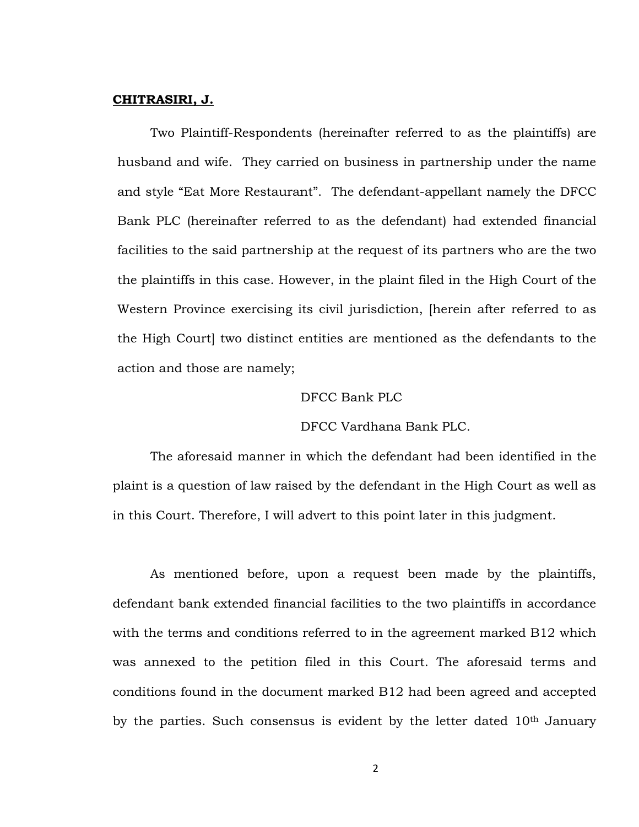## **CHITRASIRI, J.**

Two Plaintiff-Respondents (hereinafter referred to as the plaintiffs) are husband and wife. They carried on business in partnership under the name and style "Eat More Restaurant". The defendant-appellant namely the DFCC Bank PLC (hereinafter referred to as the defendant) had extended financial facilities to the said partnership at the request of its partners who are the two the plaintiffs in this case. However, in the plaint filed in the High Court of the Western Province exercising its civil jurisdiction, [herein after referred to as the High Court] two distinct entities are mentioned as the defendants to the action and those are namely;

## DFCC Bank PLC

## DFCC Vardhana Bank PLC.

The aforesaid manner in which the defendant had been identified in the plaint is a question of law raised by the defendant in the High Court as well as in this Court. Therefore, I will advert to this point later in this judgment.

As mentioned before, upon a request been made by the plaintiffs, defendant bank extended financial facilities to the two plaintiffs in accordance with the terms and conditions referred to in the agreement marked B12 which was annexed to the petition filed in this Court. The aforesaid terms and conditions found in the document marked B12 had been agreed and accepted by the parties. Such consensus is evident by the letter dated 10<sup>th</sup> January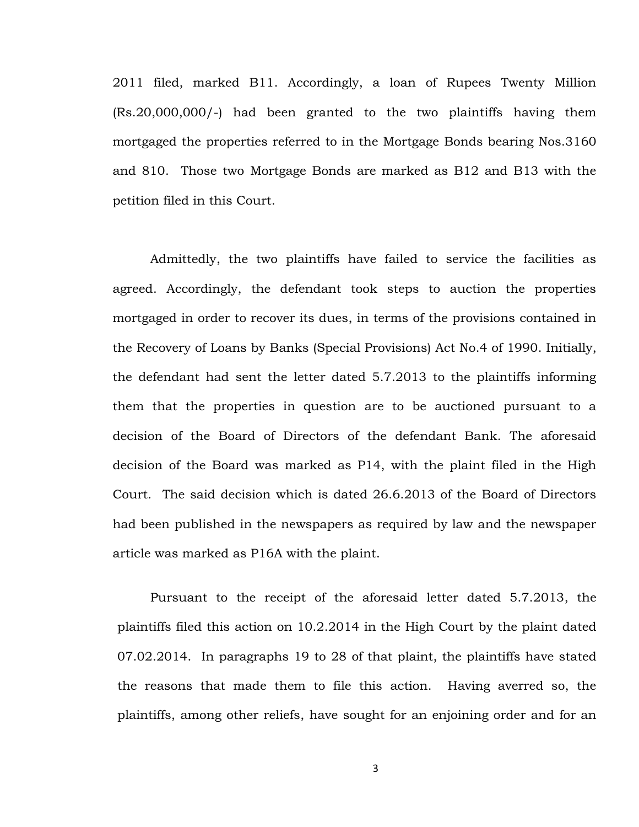2011 filed, marked B11. Accordingly, a loan of Rupees Twenty Million (Rs.20,000,000/-) had been granted to the two plaintiffs having them mortgaged the properties referred to in the Mortgage Bonds bearing Nos.3160 and 810. Those two Mortgage Bonds are marked as B12 and B13 with the petition filed in this Court.

Admittedly, the two plaintiffs have failed to service the facilities as agreed. Accordingly, the defendant took steps to auction the properties mortgaged in order to recover its dues, in terms of the provisions contained in the Recovery of Loans by Banks (Special Provisions) Act No.4 of 1990. Initially, the defendant had sent the letter dated 5.7.2013 to the plaintiffs informing them that the properties in question are to be auctioned pursuant to a decision of the Board of Directors of the defendant Bank. The aforesaid decision of the Board was marked as P14, with the plaint filed in the High Court. The said decision which is dated 26.6.2013 of the Board of Directors had been published in the newspapers as required by law and the newspaper article was marked as P16A with the plaint.

Pursuant to the receipt of the aforesaid letter dated 5.7.2013, the plaintiffs filed this action on 10.2.2014 in the High Court by the plaint dated 07.02.2014. In paragraphs 19 to 28 of that plaint, the plaintiffs have stated the reasons that made them to file this action. Having averred so, the plaintiffs, among other reliefs, have sought for an enjoining order and for an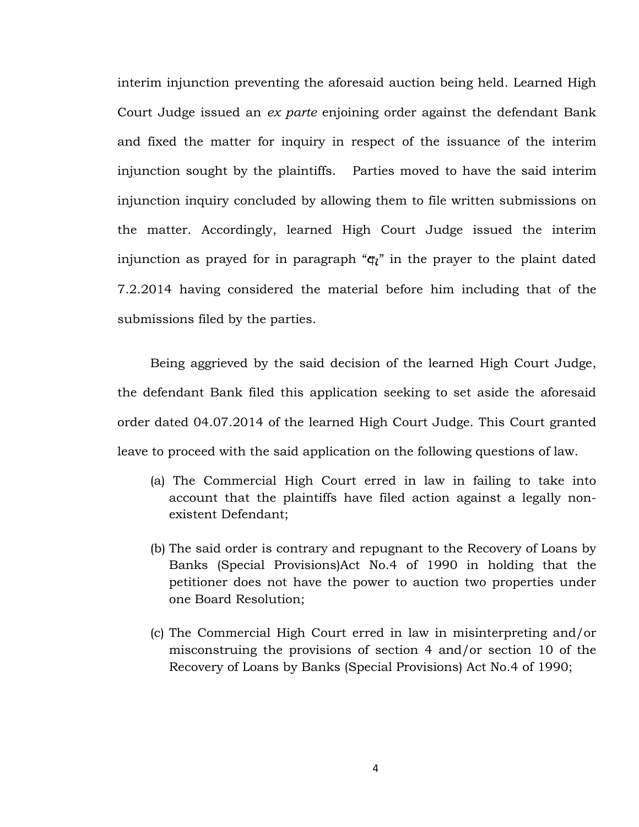interim injunction preventing the aforesaid auction being held. Learned High Court Judge issued an *ex parte* enjoining order against the defendant Bank and fixed the matter for inquiry in respect of the issuance of the interim injunction sought by the plaintiffs. Parties moved to have the said interim injunction inquiry concluded by allowing them to file written submissions on the matter. Accordingly, learned High Court Judge issued the interim injunction as prayed for in paragraph " $q^2$ " in the prayer to the plaint dated 7.2.2014 having considered the material before him including that of the submissions filed by the parties.

Being aggrieved by the said decision of the learned High Court Judge, the defendant Bank filed this application seeking to set aside the aforesaid order dated 04.07.2014 of the learned High Court Judge. This Court granted leave to proceed with the said application on the following questions of law.

- (a) The Commercial High Court erred in law in failing to take into account that the plaintiffs have filed action against a legally nonexistent Defendant;
- (b) The said order is contrary and repugnant to the Recovery of Loans by Banks (Special Provisions)Act No.4 of 1990 in holding that the petitioner does not have the power to auction two properties under one Board Resolution;
- (c) The Commercial High Court erred in law in misinterpreting and/or misconstruing the provisions of section 4 and/or section 10 of the Recovery of Loans by Banks (Special Provisions) Act No.4 of 1990;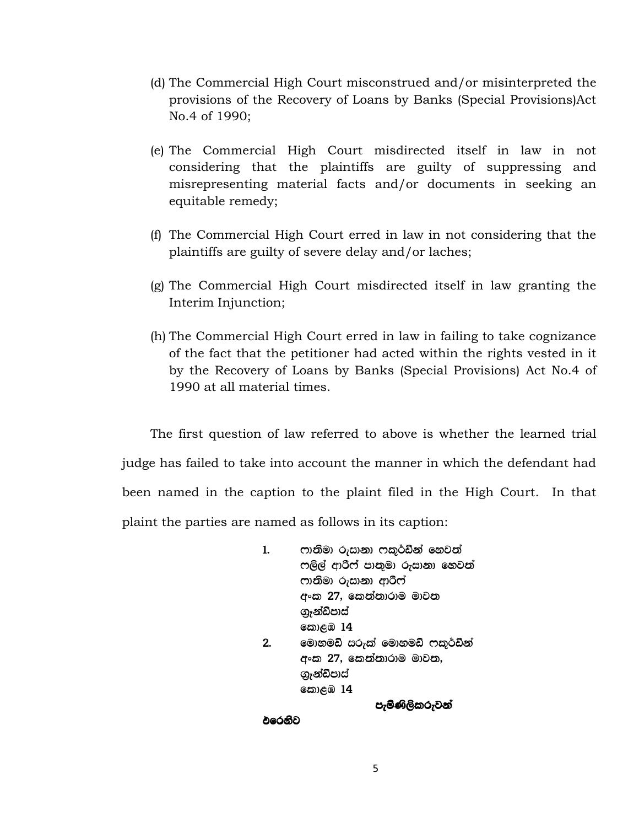- (d) The Commercial High Court misconstrued and/or misinterpreted the provisions of the Recovery of Loans by Banks (Special Provisions)Act No.4 of 1990;
- (e) The Commercial High Court misdirected itself in law in not considering that the plaintiffs are guilty of suppressing and misrepresenting material facts and/or documents in seeking an equitable remedy;
- (f) The Commercial High Court erred in law in not considering that the plaintiffs are guilty of severe delay and/or laches;
- (g) The Commercial High Court misdirected itself in law granting the Interim Injunction;
- (h) The Commercial High Court erred in law in failing to take cognizance of the fact that the petitioner had acted within the rights vested in it by the Recovery of Loans by Banks (Special Provisions) Act No.4 of 1990 at all material times.

The first question of law referred to above is whether the learned trial judge has failed to take into account the manner in which the defendant had been named in the caption to the plaint filed in the High Court. In that plaint the parties are named as follows in its caption:

> 1. ෆානිමා රුසානා ෆකුර්ඩීන් හෙවත් ෆලිල් ආරීෆ් පානුමා රුසානා හෙවත් ෆානිමා රුසානා ආරිෆ් අංක 27, කෙන්නාරාම මාවන ගැන්ඩ්පාස් **කොළඹ 14** 2. මොහමඩ් සරුක් මොහමඩ් ෆකුර්ඩීන් අංක 27, කෙත්තාරාම මාවත, ගැන්ඩ්පාස් **හොළඹ 14**

```
පැමිණිලිකරුවන්
```
එරෙනිව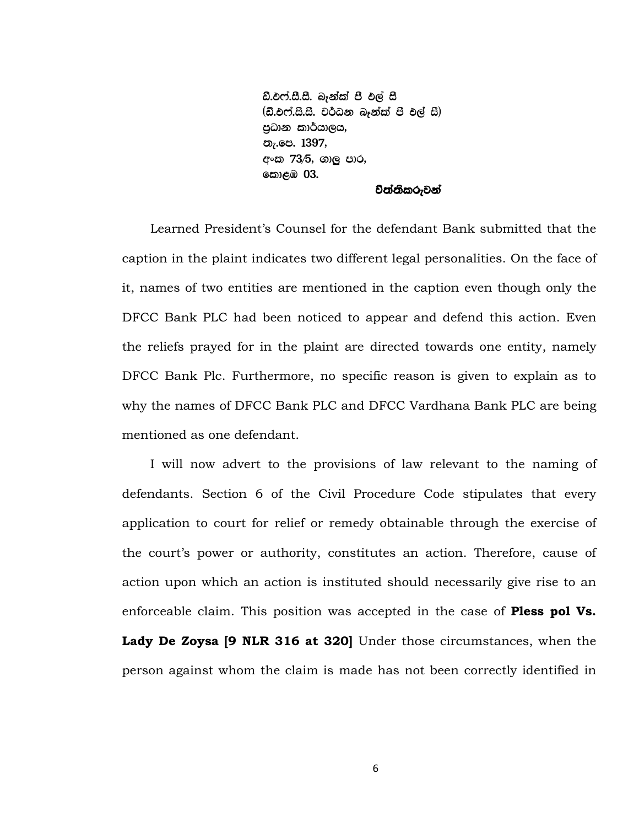ඩී.එෆ්.සී.සී. බෑන්ක් පී එල් සී  $($ ඩී.එෆ්.සී.සී. වර්ධන බෑන්ක් පී එල් සී $)$ පුධාන කාර්යාලය, තැ.පෙ. 1397, අංක 73⁄5, ගාලු පාර, කොළඹ **03.** 

#### විත්තිකරුවන්

Learned President's Counsel for the defendant Bank submitted that the caption in the plaint indicates two different legal personalities. On the face of it, names of two entities are mentioned in the caption even though only the DFCC Bank PLC had been noticed to appear and defend this action. Even the reliefs prayed for in the plaint are directed towards one entity, namely DFCC Bank Plc. Furthermore, no specific reason is given to explain as to why the names of DFCC Bank PLC and DFCC Vardhana Bank PLC are being mentioned as one defendant.

I will now advert to the provisions of law relevant to the naming of defendants. Section 6 of the Civil Procedure Code stipulates that every application to court for relief or remedy obtainable through the exercise of the court's power or authority, constitutes an action. Therefore, cause of action upon which an action is instituted should necessarily give rise to an enforceable claim. This position was accepted in the case of **Pless pol Vs. Lady De Zoysa [9 NLR 316 at 320]** Under those circumstances, when the person against whom the claim is made has not been correctly identified in

6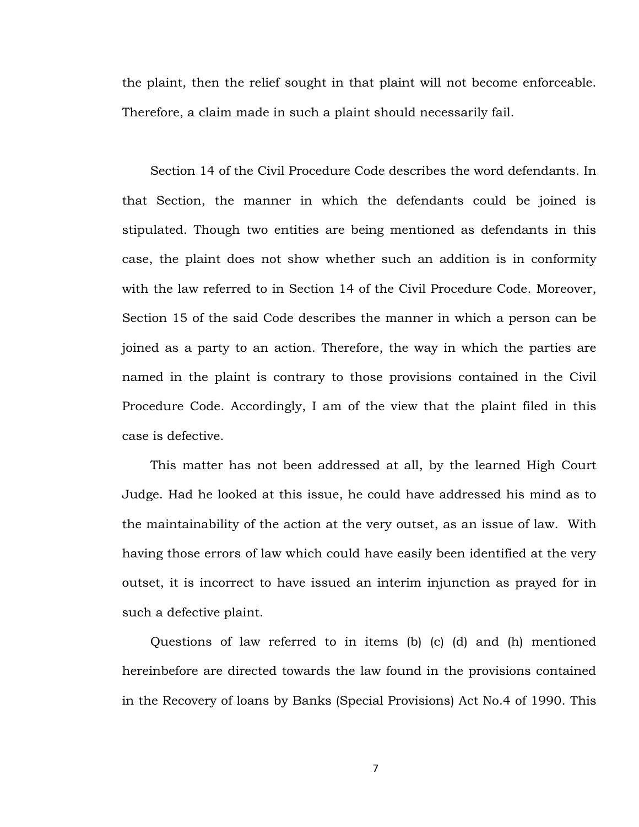the plaint, then the relief sought in that plaint will not become enforceable. Therefore, a claim made in such a plaint should necessarily fail.

Section 14 of the Civil Procedure Code describes the word defendants. In that Section, the manner in which the defendants could be joined is stipulated. Though two entities are being mentioned as defendants in this case, the plaint does not show whether such an addition is in conformity with the law referred to in Section 14 of the Civil Procedure Code. Moreover, Section 15 of the said Code describes the manner in which a person can be joined as a party to an action. Therefore, the way in which the parties are named in the plaint is contrary to those provisions contained in the Civil Procedure Code. Accordingly, I am of the view that the plaint filed in this case is defective.

This matter has not been addressed at all, by the learned High Court Judge. Had he looked at this issue, he could have addressed his mind as to the maintainability of the action at the very outset, as an issue of law. With having those errors of law which could have easily been identified at the very outset, it is incorrect to have issued an interim injunction as prayed for in such a defective plaint.

Questions of law referred to in items (b) (c) (d) and (h) mentioned hereinbefore are directed towards the law found in the provisions contained in the Recovery of loans by Banks (Special Provisions) Act No.4 of 1990. This

7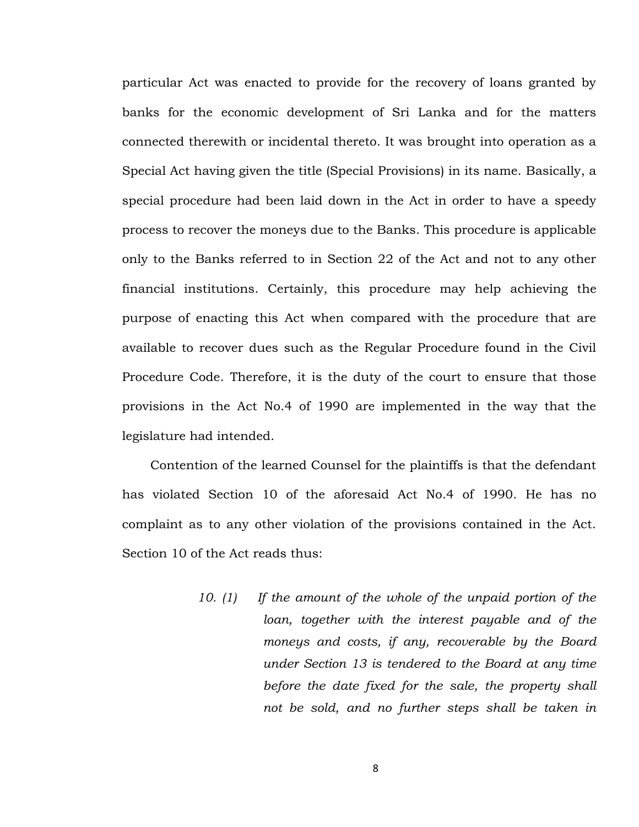particular Act was enacted to provide for the recovery of loans granted by banks for the economic development of Sri Lanka and for the matters connected therewith or incidental thereto. It was brought into operation as a Special Act having given the title (Special Provisions) in its name. Basically, a special procedure had been laid down in the Act in order to have a speedy process to recover the moneys due to the Banks. This procedure is applicable only to the Banks referred to in Section 22 of the Act and not to any other financial institutions. Certainly, this procedure may help achieving the purpose of enacting this Act when compared with the procedure that are available to recover dues such as the Regular Procedure found in the Civil Procedure Code. Therefore, it is the duty of the court to ensure that those provisions in the Act No.4 of 1990 are implemented in the way that the legislature had intended.

Contention of the learned Counsel for the plaintiffs is that the defendant has violated Section 10 of the aforesaid Act No.4 of 1990. He has no complaint as to any other violation of the provisions contained in the Act. Section 10 of the Act reads thus:

> *10. (1) If the amount of the whole of the unpaid portion of the loan, together with the interest payable and of the moneys and costs, if any, recoverable by the Board under Section 13 is tendered to the Board at any time before the date fixed for the sale, the property shall not be sold, and no further steps shall be taken in*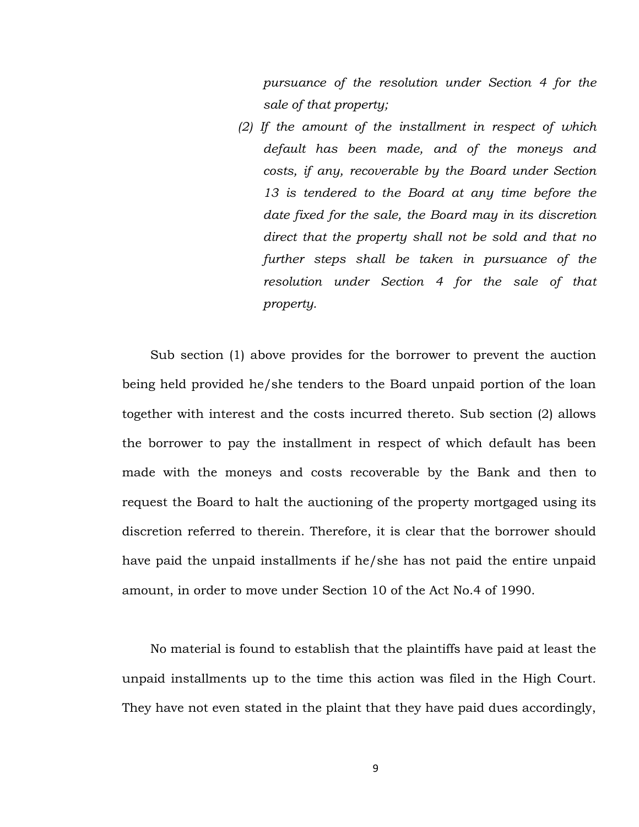*pursuance of the resolution under Section 4 for the sale of that property;* 

 *(2) If the amount of the installment in respect of which default has been made, and of the moneys and costs, if any, recoverable by the Board under Section 13 is tendered to the Board at any time before the date fixed for the sale, the Board may in its discretion direct that the property shall not be sold and that no further steps shall be taken in pursuance of the resolution under Section 4 for the sale of that property.*

Sub section (1) above provides for the borrower to prevent the auction being held provided he/she tenders to the Board unpaid portion of the loan together with interest and the costs incurred thereto. Sub section (2) allows the borrower to pay the installment in respect of which default has been made with the moneys and costs recoverable by the Bank and then to request the Board to halt the auctioning of the property mortgaged using its discretion referred to therein. Therefore, it is clear that the borrower should have paid the unpaid installments if he/she has not paid the entire unpaid amount, in order to move under Section 10 of the Act No.4 of 1990.

No material is found to establish that the plaintiffs have paid at least the unpaid installments up to the time this action was filed in the High Court. They have not even stated in the plaint that they have paid dues accordingly,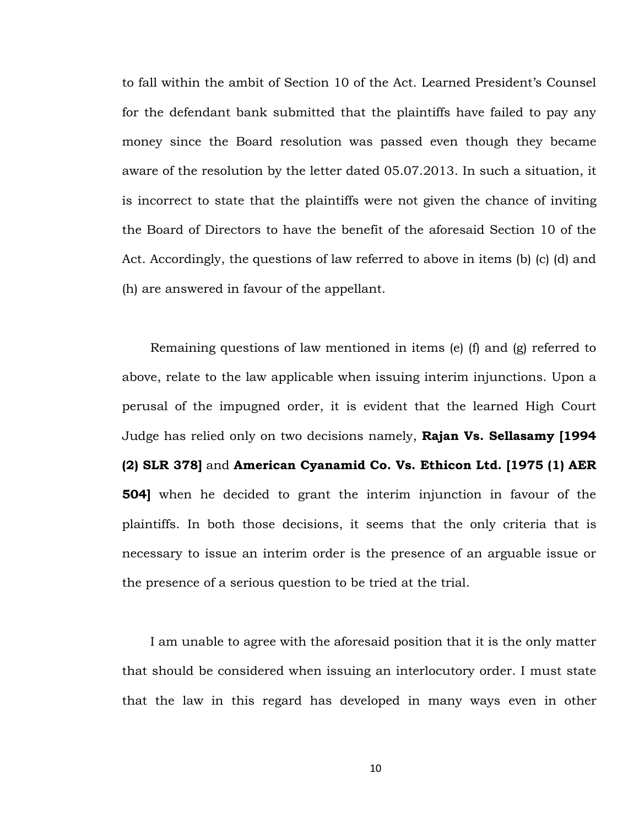to fall within the ambit of Section 10 of the Act. Learned President's Counsel for the defendant bank submitted that the plaintiffs have failed to pay any money since the Board resolution was passed even though they became aware of the resolution by the letter dated 05.07.2013. In such a situation, it is incorrect to state that the plaintiffs were not given the chance of inviting the Board of Directors to have the benefit of the aforesaid Section 10 of the Act. Accordingly, the questions of law referred to above in items (b) (c) (d) and (h) are answered in favour of the appellant.

Remaining questions of law mentioned in items (e) (f) and (g) referred to above, relate to the law applicable when issuing interim injunctions. Upon a perusal of the impugned order, it is evident that the learned High Court Judge has relied only on two decisions namely, **Rajan Vs. Sellasamy [1994 (2) SLR 378]** and **American Cyanamid Co. Vs. Ethicon Ltd. [1975 (1) AER 504]** when he decided to grant the interim injunction in favour of the plaintiffs. In both those decisions, it seems that the only criteria that is necessary to issue an interim order is the presence of an arguable issue or the presence of a serious question to be tried at the trial.

I am unable to agree with the aforesaid position that it is the only matter that should be considered when issuing an interlocutory order. I must state that the law in this regard has developed in many ways even in other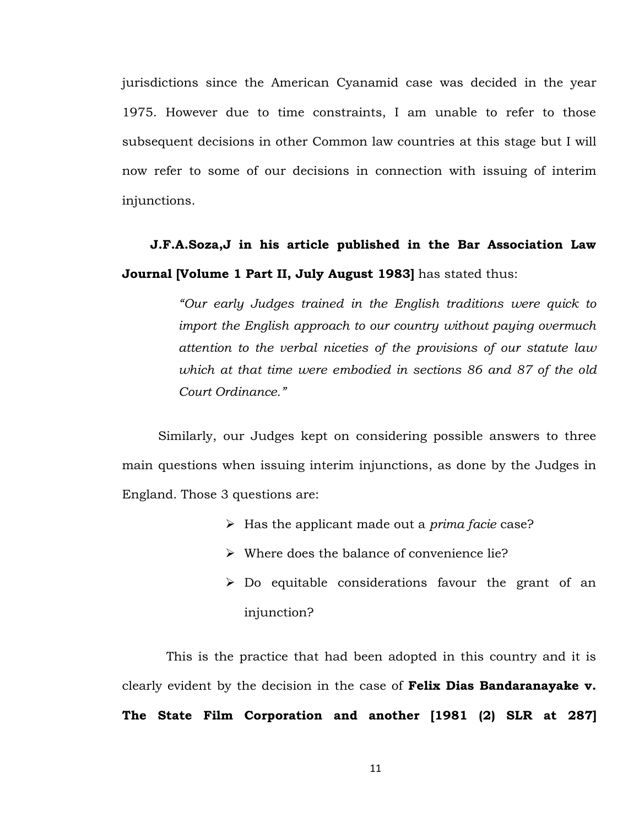jurisdictions since the American Cyanamid case was decided in the year 1975. However due to time constraints, I am unable to refer to those subsequent decisions in other Common law countries at this stage but I will now refer to some of our decisions in connection with issuing of interim injunctions.

# **J.F.A.Soza,J in his article published in the Bar Association Law Journal [Volume 1 Part II, July August 1983]** has stated thus:

*"Our early Judges trained in the English traditions were quick to import the English approach to our country without paying overmuch attention to the verbal niceties of the provisions of our statute law which at that time were embodied in sections 86 and 87 of the old Court Ordinance."* 

 Similarly, our Judges kept on considering possible answers to three main questions when issuing interim injunctions, as done by the Judges in England. Those 3 questions are:

- Has the applicant made out a *prima facie* case?
- $\triangleright$  Where does the balance of convenience lie?
- $\geq$  Do equitable considerations favour the grant of an injunction?

 This is the practice that had been adopted in this country and it is clearly evident by the decision in the case of **Felix Dias Bandaranayake v. The State Film Corporation and another [1981 (2) SLR at 287]**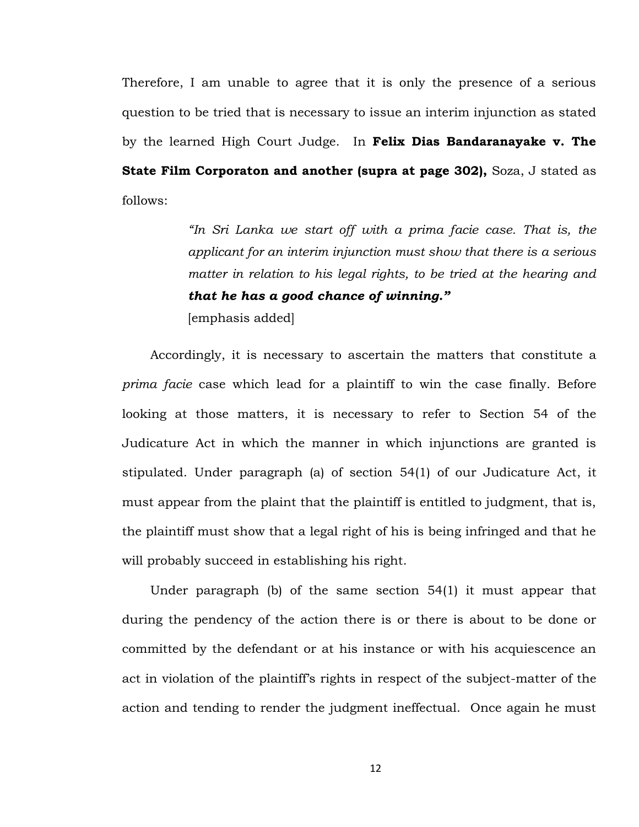Therefore, I am unable to agree that it is only the presence of a serious question to be tried that is necessary to issue an interim injunction as stated by the learned High Court Judge. In **Felix Dias Bandaranayake v. The State Film Corporaton and another (supra at page 302),** Soza, J stated as follows:

> *"In Sri Lanka we start off with a prima facie case. That is, the applicant for an interim injunction must show that there is a serious matter in relation to his legal rights, to be tried at the hearing and that he has a good chance of winning."* [emphasis added]

Accordingly, it is necessary to ascertain the matters that constitute a *prima facie* case which lead for a plaintiff to win the case finally. Before looking at those matters, it is necessary to refer to Section 54 of the Judicature Act in which the manner in which injunctions are granted is stipulated. Under paragraph (a) of section 54(1) of our Judicature Act, it must appear from the plaint that the plaintiff is entitled to judgment, that is, the plaintiff must show that a legal right of his is being infringed and that he will probably succeed in establishing his right.

Under paragraph (b) of the same section 54(1) it must appear that during the pendency of the action there is or there is about to be done or committed by the defendant or at his instance or with his acquiescence an act in violation of the plaintiff's rights in respect of the subject-matter of the action and tending to render the judgment ineffectual. Once again he must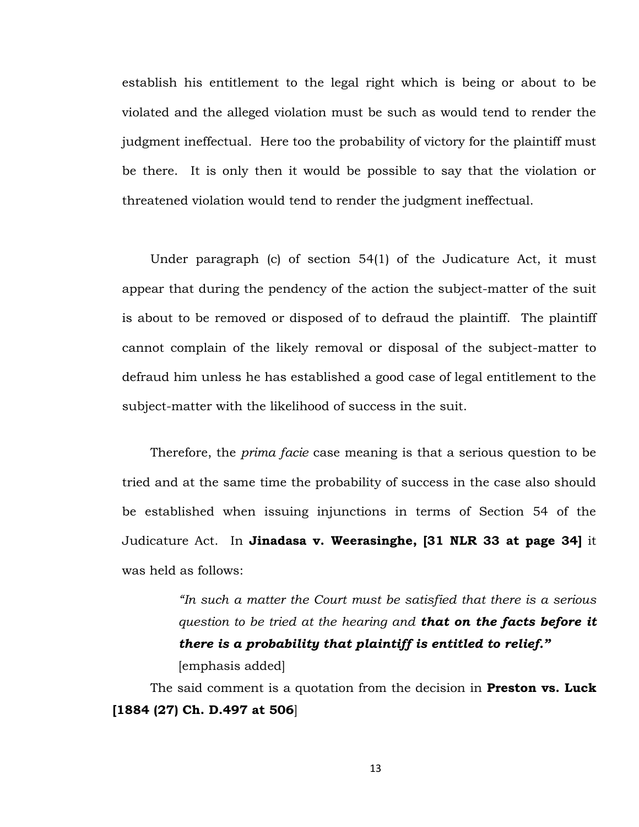establish his entitlement to the legal right which is being or about to be violated and the alleged violation must be such as would tend to render the judgment ineffectual. Here too the probability of victory for the plaintiff must be there. It is only then it would be possible to say that the violation or threatened violation would tend to render the judgment ineffectual.

Under paragraph (c) of section 54(1) of the Judicature Act, it must appear that during the pendency of the action the subject-matter of the suit is about to be removed or disposed of to defraud the plaintiff. The plaintiff cannot complain of the likely removal or disposal of the subject-matter to defraud him unless he has established a good case of legal entitlement to the subject-matter with the likelihood of success in the suit.

Therefore, the *prima facie* case meaning is that a serious question to be tried and at the same time the probability of success in the case also should be established when issuing injunctions in terms of Section 54 of the Judicature Act. In **Jinadasa v. Weerasinghe, [31 NLR 33 at page 34]** it was held as follows:

> *"In such a matter the Court must be satisfied that there is a serious question to be tried at the hearing and that on the facts before it there is a probability that plaintiff is entitled to relief."* [emphasis added]

The said comment is a quotation from the decision in **Preston vs. Luck [1884 (27) Ch. D.497 at 506**]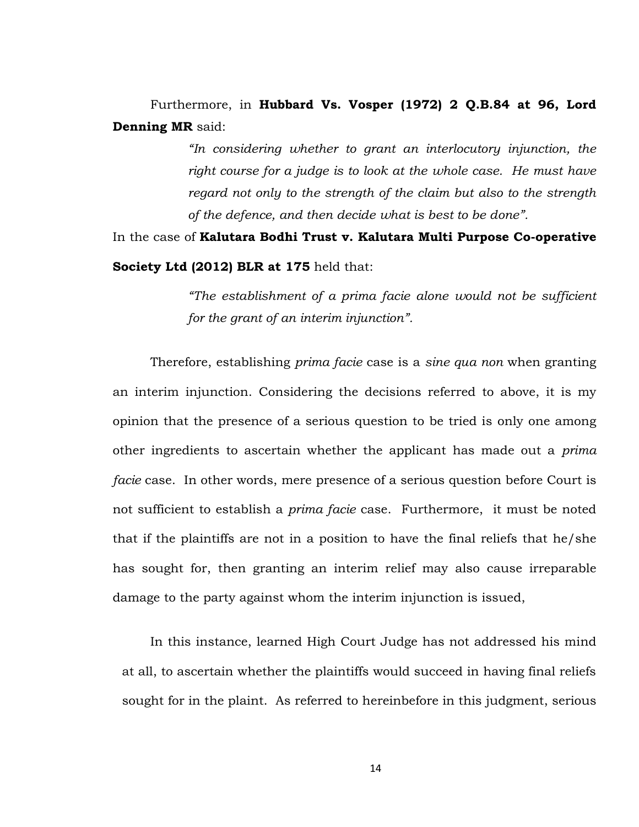# Furthermore, in **Hubbard Vs. Vosper (1972) 2 Q.B.84 at 96, Lord Denning MR** said:

*"In considering whether to grant an interlocutory injunction, the right course for a judge is to look at the whole case. He must have regard not only to the strength of the claim but also to the strength of the defence, and then decide what is best to be done".* 

In the case of **Kalutara Bodhi Trust v. Kalutara Multi Purpose Co-operative Society Ltd (2012) BLR at 175** held that:

> *"The establishment of a prima facie alone would not be sufficient for the grant of an interim injunction".*

Therefore, establishing *prima facie* case is a *sine qua non* when granting an interim injunction. Considering the decisions referred to above, it is my opinion that the presence of a serious question to be tried is only one among other ingredients to ascertain whether the applicant has made out a *prima facie* case. In other words, mere presence of a serious question before Court is not sufficient to establish a *prima facie* case. Furthermore, it must be noted that if the plaintiffs are not in a position to have the final reliefs that he/she has sought for, then granting an interim relief may also cause irreparable damage to the party against whom the interim injunction is issued,

In this instance, learned High Court Judge has not addressed his mind at all, to ascertain whether the plaintiffs would succeed in having final reliefs sought for in the plaint. As referred to hereinbefore in this judgment, serious